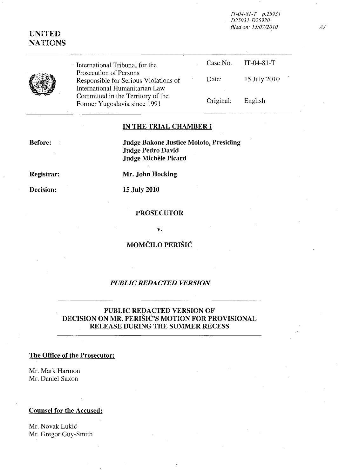*IT-04-81-T p.25931 D25931-D25920 filed on: 1510712010* 

# UNITED **NATIONS**

| International Tribunal for the                                                                    |           | Case No. $IT-04-81-T$ |
|---------------------------------------------------------------------------------------------------|-----------|-----------------------|
| Prosecution of Persons<br>Responsible for Serious Violations of<br>International Humanitarian Law | Date:     | 15 July 2010          |
| Committed in the Territory of the<br>Former Yugoslavia since 1991                                 | Original: | English               |

## IN THE TRIAL CHAMBER I

Before:

Judge Bakone Justice Moloto, Presiding Judge Pedro David Judge Michèle Picard

Registrar:

Decision:

Mr. John Hocking

15 July 2010

### PROSECUTOR

v.

MOMČILO PERIŠIĆ

### *PUBLIC REDACTED VERSION*

## PUBLIC REDACTED VERSION OF DECISION ON MR. PERISIC'S MOTION FOR PROVISIONAL RELEASE DURING THE SUMMER RECESS

### The Office of the Prosecutor:

Mr. Mark Harmon Mr. Daniel Saxon

## Counsel for the Accused:

Mr. Novak Lukic Mr. Gregor Guy-Smith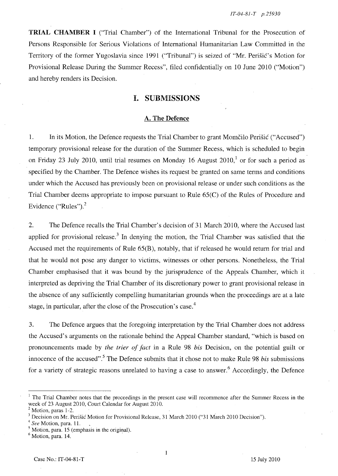TRIAL CHAMBER I ("Trial Chamber") of the International Tribunal for the Prosecution of Persons Responsible for Serious Violations of International Humanitarian Law Committed in the Territory of the former Yugoslavia since 1991 ("Tribunal") is seized of "Mr. Perišić's Motion for Provisional Release During the Summer Recess", filed confidentially on 10 June 2010 ("Motion") and hereby renders its Decision.

### I. SUBMISSIONS

#### A. The Defence

1. In its Motion, the Defence requests the Trial Chamber to grant Momčilo Perišić ("Accused") temporary provisional release for the duration of the Summer Recess, which is scheduled to begin on Friday 23 July 2010, until trial resumes on Monday 16 August  $2010<sup>1</sup>$  or for such a period as specified by the Chamber. The Defence wishes its request be granted on same terms and conditions under which the Accused has previously been on provisional release or under such conditions as the Trial Chamber deems appropriate to impose pursuant to Rule 65(C) of the Rules of Procedure and Evidence ("Rules"). $<sup>2</sup>$ </sup>

2. The Defence recalls the Trial Chamber's decision of 31 March 2010, where the Accused last applied for provisional release.<sup>3</sup> In denying the motion, the Trial Chamber was satisfied that the Accused met the requirements of Rule 65(B), notably, that if released he would return for trial and that he would not pose any danger to victims, witnesses or other persons. Nonetheless, the Trial Chamber emphasised that it was bound by the jurisprudence of the Appeals Chamber, which it interpreted as depriving the Trial Chamber of its discretionary power to grant provisional release in the absence of any sufficiently compelling humanitarian grounds when the proceedings are at a late stage, in particular, after the close of the Prosecution's case.<sup>4</sup>

3. The Defence argues that the foregoing interpretation by the Trial Chamber does not address the Accused's arguments on the rationale behind the Appeal Chamber standard, "which is based on pronouncements made by *the trier of fact* in a Rule 98 *his* Decision, on the potential guilt or innocence of the accused".5 The Defence submits that it chose not to make Rule 98 *his* submissions for a variety of strategic reasons unrelated to having a case to answer.<sup>6</sup> Accordingly, the Defence

 $\mathbf{1}$ 

<sup>&</sup>lt;sup>1</sup> The Trial Chamber notes that the proceedings in the present case will recommence after the Summer Recess in the week of 23 August 2010, Court Calendar for August 2010.

 $<sup>2</sup>$  Motion, paras 1-2.</sup>

<sup>&</sup>lt;sup>3</sup> Decision on Mr. Perišić Motion for Provisional Release, 31 March 2010 ("31 March 2010 Decision").

*<sup>4</sup> See* Motion, para. 11.

 $<sup>5</sup>$  Motion, para. 15 (emphasis in the original).  $<sup>6</sup>$  Motion, para. 14.</sup></sup>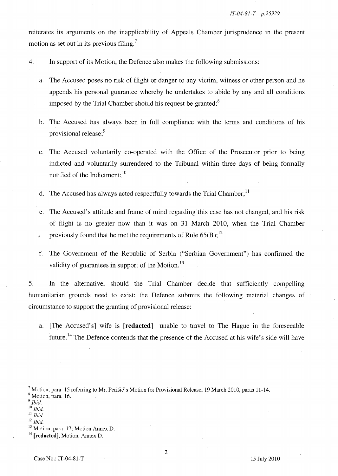reiterates its arguments on the inapplicability of Appeals Chamber jurisprudence in the present motion as set out in its previous filing.<sup>7</sup>

4. **In** support of its Motion, the Defence also makes the following submissions:

- a. The Accused poses no risk of flight or danger to any victim, witness or other person and he appends his personal guarantee whereby he undertakes to abide by any and all conditions imposed by the Trial Chamber should his request be granted; $8$
- b. The Accused has always been in full compliance with the terms and conditions of his provisional release;<sup>9</sup>
- c. The Accused voluntarily co-operated with the Office of the Prosecutor prior to being indicted and voluntarily surrendered to the Tribunal within three days of being formally notified of the Indictment; <sup>10</sup>
- d. The Accused has always acted respectfully towards the Trial Chamber;  $<sup>11</sup>$ </sup>
- e. The Accused's attitude and frame of mind regarding this case has not changed, and his risk of flight is no greater now than it was on 31 March 2010, when the Trial Chamber previously found that he met the requirements of Rule  $65(B)$ ;<sup>12</sup>
- f. The Government of the Republic of Serbia ("Serbian Government") has confirmed the validity of guarantees in support of the Motion. $^{13}$

5. **In** the alternative, should the Trial Chamber decide that sufficiently compelling humanitarian grounds need to exist; the Defence submits the following material changes of circumstance to support the granting of. provisional release:

a. [The Accused's] wife is [**redacted**] unable to travel to The Hague in the foreseeable future.<sup>14</sup> The Defence contends that the presence of the Accused at his wife's side will have

<sup>&</sup>lt;sup>7</sup> Motion, para. 15 referring to Mr. Perišić's Motion for Provisional Release, 19 March 2010, paras 11-14. 8 Motion, para. 16.

*<sup>9</sup> Ibid.* 

<sup>10</sup>*Ibid.* 

<sup>11</sup>*Ibid.* 

<sup>12</sup>*Ibid.* 

<sup>&</sup>lt;sup>13</sup> Motion, para. 17; Motion Annex D.

<sup>14</sup>**[redacted],** Motion, Annex D.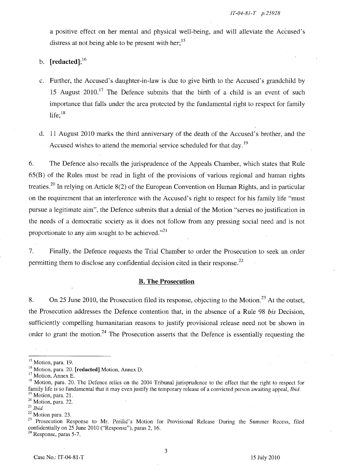a positive effect on her mental and physical well-being, and will alleviate the Accused's distress at not being able to be present with her;<sup>15</sup>

## b.  $[related]$ ;<sup>16</sup>

- c. Further, the Accused's daughter-in-law is due to give birth to the Accused's grandchild by 15 August  $2010$ <sup>17</sup>. The Defence submits that the birth of a child is an event of such importance that falls under the area protected by the fundamental right to respect for family life; $^{18}$
- d. 11 August 2010 marks the third anniversary of the death of the Accused's brother, and the Accused wishes to attend the memorial service scheduled for that day.<sup>19</sup>

6. The Defence also recalls the jurisprudence of the Appeals Chamber, which states that Rule 65(B) of the Rules must be read in light of the provisions of various regional and human rights treaties.<sup>20</sup> In relying on Article 8(2) of the European Convention on Human Rights, and in particular on the requirement that an interference with the Accused's right to respect for his family life "must pursue a legitimate aim", the Defence submits that a denial of the Motion "serves no justification in the needs of a democratic society as it does not follow from any pressing social need and is not proportionate to any aim sought to be achieved. $n^{21}$ 

7. Finally, the Defence requests the Trial Chamber to order the Prosecution to seek an order permitting them to disclose any confidential decision cited in their response.<sup>22</sup>

#### B. The Prosecution

8. On 25 June 2010, the Prosecution filed its response, objecting to the Motion.<sup>23</sup> At the outset, the Prosecution addresses the Defence contention that, in the absence of a Rule 98 *his* Decision, sufficiently compelling humanitarian reasons to justify provisional release need not be shown in order to grant the motion.<sup>24</sup> The Prosecution asserts that the Defence is essentially requesting the

3

<sup>&</sup>lt;sup>15</sup> Motion, para. 19.

<sup>&</sup>lt;sup>16</sup> Motion, para. 20. [redacted] Motion, Annex D.

<sup>&</sup>lt;sup>17</sup> Motion, Annex E.

 $18$  Motion, para. 20. The Defence relies on the 2004 Tribunal jurisprudence to the effect that the right to respect for family life is so fundamental that it may even justify the temporary release of a convicted person awaiting appeal, *Ibid.*   $19$  Motion, para. 21.

<sup>20</sup> Motion, para. 22.

<sup>21</sup>*Ibid.* 

<sup>22</sup> Motion para. 23.

<sup>&</sup>lt;sup>23</sup> Prosecution Response to Mr. Perišić's Motion for Provisional Release During the Summer Recess, filed confidentially on 25 June 2010 ("Response"), paras 2, 16.

 $24$  Response, paras 5-7.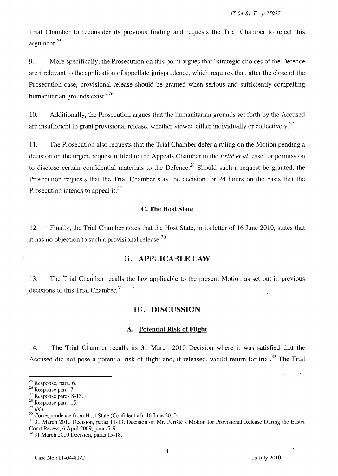Trial Chamber to reconsider its previous finding and requests the Trial Chamber to reject this argument. 25

9. More specifically, the Prosecution on this point argues that "strategic choices of the Defence are irrelevant to the application of appellate jurisprudence, which requires that, after the close of the Prosecution case, provisional release should be granted when serious and sufficiently compelling humanitarian grounds exist. $^{26}$ 

10. Additionally, the Prosecution argues that the humanitarian grounds set forth by the Accused are insufficient to grant provisional release, whether viewed either individually or collectively.<sup>27</sup>

11. The Prosecution also requests that the Trial Chamber defer a ruling on the Motion pending a decision on the urgent request it filed to the Appeals Chamber in the *Prlic et al.* case for permission to disclose certain confidential materials to the Defence.<sup>28</sup> Should such a request be granted, the Prosecution requests that the Trial Chamber stay the decision for 24 hours on the basis that the Prosecution intends to appeal it.<sup>29</sup>

#### c. The Host State

12. Finally, the Trial Chamber notes that the Host State, in its letter of 16 June 2010, states that it has no objection to such a provisional release.  $30$ 

### **H.** APPLICABLE LAW

13. The Trial Chamber recalls the law applicable to the present Motion as set out in previous decisions of this Trial Chamber.<sup>31</sup>

#### Ill. DISCUSSION

#### A. Potential Risk of Flight

14. The Trial Chamber recalls its 31 March 2010 Decision where it was satisfied that the Accused did not pose a potential risk of flight and, if released, would return for trial.<sup>32</sup> The Trial

 $32$  31 March 2010 Decision, paras 15-18.

<sup>25</sup> Response, para. 6.

<sup>26</sup> Response para. 7.

 $27$  Response paras 8-13.

<sup>28</sup> Response para. 15.

*<sup>29</sup> Ibid.* 

<sup>30</sup> Correspondence from Host State (Confidential), 16 June 2010.

<sup>&</sup>lt;sup>31</sup> 31 March 2010 Decision, paras 11-13; Decision on Mr. Perišić's Motion for Provisional Release During the Easter Court Recess, 6 April 2009, paras 7-9.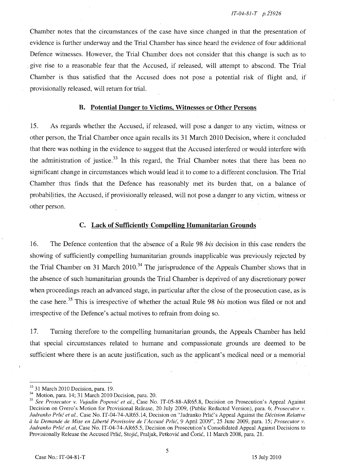Chamber notes that the circumstances of the case have since changed in that the presentation of evidence is further underway and the Trial Chamber has since heard the evidence of four additional Defence witnesses. However, the Trial Chamber does not consider that this change is such as to . give rise to a reasonable fear that the Accused, if released, will attempt to abscond. The Trial Chamber is thus satisfied that the Accused does not pose a potential risk of flight and, if provisionally released, will return for trial.

### B. Potential Danger to Victims, Witnesses or Other Persons

15. As regards whether the Accused, if released, will pose a danger to any victim, witness or other person, the Trial Chamber once again recalls its 31 March 2010 Decision, where it concluded that there was nothing in the evidence to suggest that the Accused interfered or would interfere with the administration of justice.<sup>33</sup> In this regard, the Trial Chamber notes that there has been no significant change in circumstances which would lead it to come to a different conclusion. The Trial Chamber thus finds that the Defence has reasonably met its burden that, on a balance of probabi!ities, the Accused, if provisionally released, will not pose a danger to any victim, witness or other person.

### C. Lack of Sufficiently Compelling Humanitarian Grounds

16. The Defence contention that the absence of a Rule 98 *his* decision in this case renders the showing of sufficiently compelling humanitarian grounds inapplicable was previously rejected by the Trial Chamber on 31 March 2010.<sup>34</sup> The jurisprudence of the Appeals Chamber shows that in the absence of such humanitarian grounds the Trial Chamber is deprived of any discretionary power when proceedings reach an advanced stage, in particular after the dose of the prosecution case, as is the case here.<sup>35</sup> This is irrespective of whether the actual Rule 98 *bis* motion was filed or not and irrespective of the Defence's actual motives to refrain from doing so.

17. Turning therefore to the compelling humanitarian grounds, the Appeals Chamber has held that special circumstances related to humane and compassionate grounds are deemed to be sufficient where there is an acute justification, such as the applicant's medical need or a memorial

<sup>&</sup>lt;sup>33</sup> 31 March 2010 Decision, para. 19.

<sup>34</sup> Motion, para. 14; 31 March 2010 Decision, para. 20.

*<sup>35</sup> See Prosecutor v. Vujadin Popović et al., Case No. IT-05-88-AR65.8, Decision on Prosecution's Appeal Against* Decision on Gvero's Motion for Provisional Release, 20 July 2009, (Public Redacted Version), para. 6; *Prosecutor v.*  Jadranko Prlić et al., Case No. IT-04-74-AR65.14, Decision on "Jadranko Prlić's Appeal Against the *Décision Relative cl la Demande de Mise en Liberte Provisoire de l'Accuse Prlic,* 9 April 2009", 25 June 2009, para. 15; *Prosecutor v. ladranko Prlic et aI,* Case No. IT-04-74-AR65.5, Decision on Prosecution's Consolidated Appeal Against Decisions to Provisionally Release the Accused Prlic, Stojic, Praljak, Petkovic and Coric, 11 March 200S, para. 21.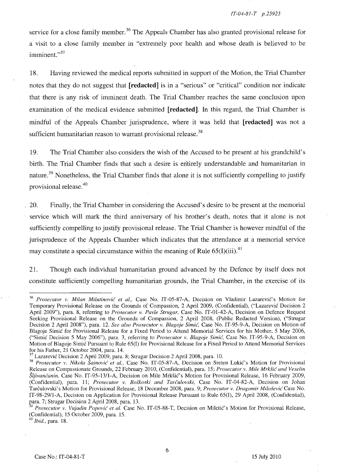service for a close family member.<sup>36</sup> The Appeals Chamber has also granted provisional release for a visit to a close family member in "extremely poor health and whose death is believed to be imminent."<sup>37</sup>

18. Having reviewed the medical reports submitted in support of the Motion, the Trial Chamber notes that they do not suggest that **[redacted]** is in a "serious" or "critical" condition nor indicate that there is any risk of imminent death. The Trial Chamber reaches the same conclusion upon examination of the medical evidence submitted **[redacted]. In** this regard, the Trial Chamber is mindful of the Appeals Chamber jurisprudence, where it was held that **[redacted]** was not a sufficient humanitarian reason to warrant provisional release.<sup>38</sup>

19. The Trial Chamber also considers the wish of the Accused to be present at his grandchild's birth. The Trial Chamber finds that such a desire is entirely understandable and humanitarian in nature.<sup>39</sup> Nonetheless, the Trial Chamber finds that alone it is not sufficiently compelling to justify provisional release.<sup>40</sup>

20. Finally, the Trial Chamber in considering the Accused's desire to be present at the memorial service which will mark the third anniversary of his brother's death, notes that it alone is not sufficiently compelling to justify provisional release. The Trial Chamber is however mindful of the jurisprudence of the Appeals Chamber which indicates that the attendance at a memorial service may constitute a special circumstance within the meaning of Rule  $65(I)(iii)$ .<sup>41</sup>

21. Though each individual humanitarian ground advanced by the Defence by itself does not constitute sufficiently compelling humanitarian grounds, the Trial Chamber, in the exercise of its

*40 Ihid.,* para. IS.

<sup>&</sup>lt;sup>36</sup> Prosecutor v. Milan Milutinović et al., Case No. IT-05-87-A, Decision on Vladimir Lazarević's Motion for Temporary Provisional Release on the Grounds of Compassion, 2 April 2009, (Confidential), ("Lazarevic Decision 2 April 2009"), para. S, referring to *Prosecutor* v. *Pavle Strugar,* Case No. IT-01-42-A, Decision on Defence Request Seeking Provisional Release on the Grounds of Compassion, 2 April 200S, (Public Redacted Version), ("Strugar Decision 2 April 200S"), para. 12. *See also Prosecutor* v. *Blagoje Simic,* Case No. IT-95-9-A, Decision on Motion of Blagoje Simić for Provisional Release for a Fixed Period to Attend Memorial Services for his Mother, 5 May 2006, ("Simic Decision 5 May 2006"), para. 3, referring to *Prosecutor* v. *Blagoje Simic,* Case No. IT-95-9-A, Decision on Motion of Blagoje Simic Pursuant to Rule 65(1) for Provisional Release for a Fixed Period to Attend Memorial Services for his Father, 21 October 2004, para. 14.

Lazarević Decision 2 April 2009, para. 8; Strugar Decision 2 April 2008, para. 10.

<sup>&</sup>lt;sup>38</sup> Prosecutor v. Nikola Šainović et al., Case No. IT-05-87-A, Decision on Sreten Lukić's Motion for Provisional Release on Compassionate Grounds, 22 February 2010, (Confidential), para. 15; *Prosecutor* v. *Mile MrkSic and Veselin*  Šljivanćanin, Case No. IT-95-13/1-A, Decision on Mile Mrkšić's Motion for Provisional Release, 16 February 2009, (Confidential), para. 11; *Prosecutor* v. *Boskoski and Tarculovski,* Case No. IT-04-S2-A, Decision on Johan Tarculovski's Motion for Provisional Release, IS December 200S, para. 9; *Prosecutor* v. *Dragomir Milosevic* Case No. IT-9S-29/1-A, Decision on Application for Provisional Release Pursuant to Rule 65(1), 29 April 200S, (Confidential), para. 7; Strugar Decision 2 April 2008, para. 13.

*Prosecutor v. Vujadin Popović et al.* Case No. IT-05-88-T, Decision on Miletić's Motion for Provisional Release, (Confidential), 15 October 2009, para. 15.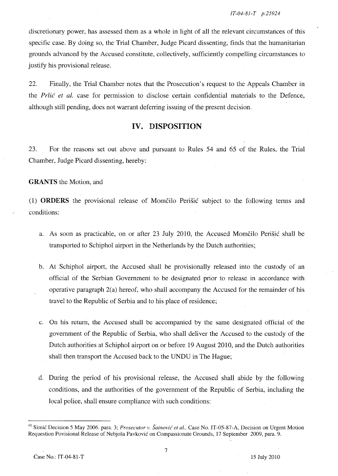discretionary power, has assessed them as a whole in light of all the relevant circumstances of this specific case. By doing so, the Trial Chamber, Judge Picard dissenting, finds that the humanitarian grounds advanced by the Accused constitute, collectively, sufficiently compelling circumstances to justify his provisional release.

22. Finally, the Trial Chamber notes that the Prosecution's request to the Appeals Chamber in the Prlic *et al.* case for permission to disclose certain confidential materials to the Defence, although still pending, does not warrant deferring issuing of the present decision.

## **IV. DISPOSITION**

23. For the reasons set out above and pursuant to Rules 54 and 65 of the Rules, the Trial Chamber, Judge Picard dissenting, hereby:

### **GRANTS** the Motion, and

(1) **ORDERS** the provisional release of Momcilo Perisic subject to the following terms and conditions:

- a. As soon as practicable, on or after 23 July 2010, the Accused Momčilo Perišić shall be transported to Schiphol airport in the Netherlands by the Dutch authorities;
- b. At Schiphol airport, the Accused shall be provisionally released into the custody of an official of the Serbian Government to be designated prior to release in accordance with operative paragraph 2(a) hereof, who shall accompany the Accused for the remainder of his travel to the Republic of Serbia and to his place of residence;
- c. On his return, the Accused shall be accompanied by the same designated official of the government of the Republic of Serbia, who shall deliver the Accused to the custody of the Dutch authorities at Schiphol airport on or before 19 August 2010, and the Dutch authorities shall then transport the Accused back to the UNDU in The Hague;
- d. During the period of his provisional release, the Accused shall abide by the following conditions, and the authorities of the government of the Republic of Serbia, including the local police, shall ensure compliance with such conditions:

<sup>&</sup>lt;sup>41</sup> Simic Decision 5 May 2006. para. 3; *Prosecutor v. Šainovic et al.*, Case No. IT-05-87-A, Decision on Urgent Motion Requestion Povisional Release of Nebjosa Pavkovic on Compassionate Grounds, 17 September 2009, para. 9.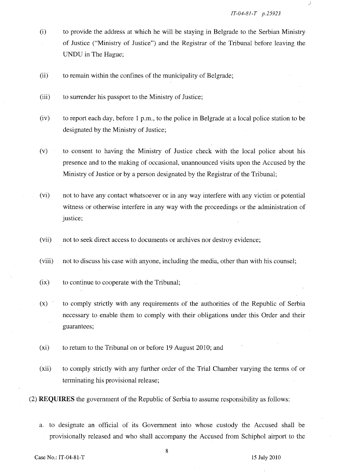j

- (i) to provide the address at which he will be staying in Belgrade to the Serbian Ministry of Justice ("Ministry of Justice") and the Registrar of the Tribunal before leaving the UNDU in The Hague;
- (ii) to remain within the confines of the municipality of Belgrade;
- (iii) to surrender his passport to the Ministry of Justice;
- (iv) to report each day, before 1 p.m., to the police in Belgrade at a local police station to be designated by the Ministry of Justice;
- (v) to consent to having the Ministry of Justice check with the local police about his presence and to the making of occasional, unannounced visits upon the Accused by the Ministry of Justice or by a person designated by the Registrar of the Tribunal;
- (vi) not to have any contact whatsoever or in any way interfere with any victim or potential witness or otherwise interfere in any way with the proceedings or the administration of justice;
- (vii) not to seek direct access to documents or archives nor destroy evidence;
- (viii) not to discuss his case with anyone, including the media, other than with his counsel;
- $(ix)$  to continue to cooperate with the Tribunal;
- (x) to comply strictly with any requirements of the authorities of the Republic of Serbia necessary to enable them to comply with their obligations under this Order and their guarantees;
- (xi) to return to the Tribunal on or before 19 August 2010; and
- (xii) to comply strictly with any further order of the Trial Chamber varying the terms of or terminating his provisional release;

(2) **REQUIRES** the government of the Republic of Serbia to assume responsibility as follows:

a. to designate an official of its Government into whose custody the Accused shall be provisionally released and who shall accompany the Accused from Schiphol airport to the

8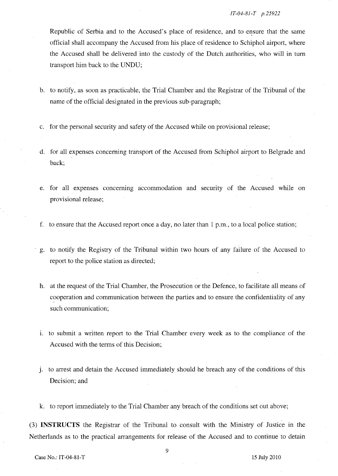Republic of Serbia and to the Accused's place of residence, and to ensure that the same official shall accompany the Accused from his place of residence to Schiphol airport, where the Accused shall be delivered into the custody of the Dutch. authorities, who will in turn transport him back to the UNDU;

- b. to notify, as soon as practicable, the Trial Chamber and the Registrar of the Tribunal of the name of the official designated in the previous sub-paragraph;
- c. for the personal security and safety of the Accused while on provisional release;
- d. for all expenses concerning transport of the Accused from Schiphol airport to Belgrade and back;
- e. for all expenses concerning accommodation and security of the Accused while on provisional release;
- f. to ensure that the Accused report once a day, no later than 1 p.m., to a local police station;
- , g. to notify the Registry of the Tribunal within two hours of any failure of the Accused to report to the police station as directed;
- h. at the request of the Trial Chamber, the Prosecution or the Defence, to facilitate all means of cooperation and communication between the parties and to ensure the confidentiality of any such communication;
- 1. to submit a written report to the Trial Chamber every week as to the compliance of the Accused with the terms of this Decision;
- j. to arrest and detain the Accused immediately should he breach any of the conditions of this Decision; and
- k. to report immediately to the Trial Chamber any breach of the conditions set out above;

(3) **INSTRUCTS** the Registrar of the Tribunal to consult with the Ministry of Justice in the Netherlands as to the practical arrangements for release of the Accused and to continue to detain

9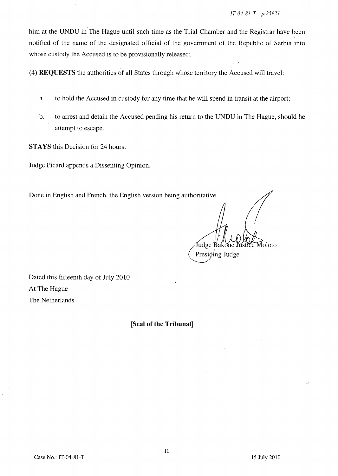him at the UNDU in The Hague until such time as the Trial Chamber and the Registrar have been notified of the name of the designated official of the government of the Republic of Serbia into whose custody the Accused is to be provisionally released;

(4) REQUESTS the authorities of all States through whose territory the Accused will travel:

- a. to hold the Accused in custody for any time. that he will spend in transit at the airport;
- b. to arrest and detain the Accused pending his return to the UNDU in The Hague, should he attempt to escape.

**STAYS** this Decision for 24 hours.

Judge Picard appends a Dissenting Opinion.

Done in English and French, the English version being authoritative.

Judge Bakone Justice Moloto Presiding Judge

Dated this fifteenth day of July 2010 At The Hague The Netherlands

**[Seal of the Tribunal]**